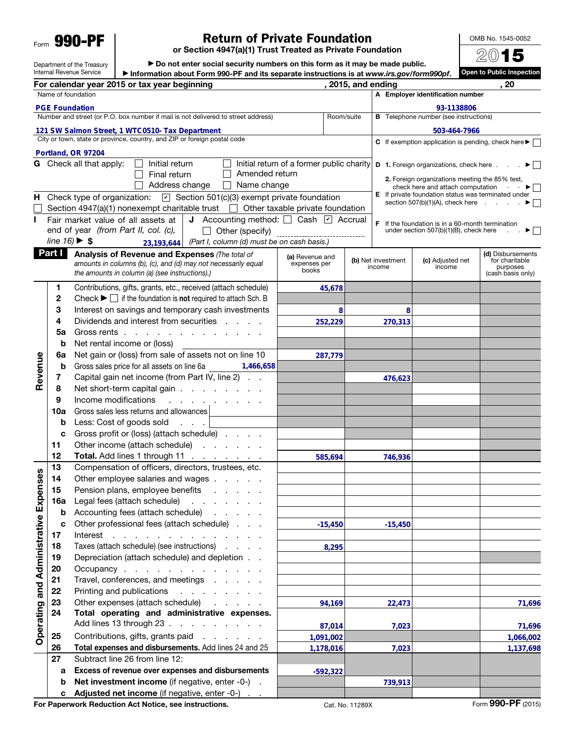Form **990-PF** 

Revenue

Revenue

Operating and Administrative Expenses

Operating and Administrative Expenses

## Return of Private Foundation

or Section 4947(a)(1) Trust Treated as Private Foundation

OMB No. 1545-0052

Department of the Treasury Internal Revenue Service ▶ Do not enter social security numbers on this form as it may be made public. ▶ Information about Form 990-PF and its separate instructions is at *www.irs.gov/form990pf*. 2015 Open to Public Inspection For calendar year 2015 or tax year beginning and the set of the set of the set of the set of the set of the set o Name of foundation Number and street (or P.O. box number if mail is not delivered to street address) Room/suite City or town, state or province, country, and ZIP or foreign postal code A Employer identification number **B** Telephone number (see instructions) C If exemption application is pending, check here  $\blacktriangleright \Box$ **D** 1. Foreign organizations, check here . . .  $\blacktriangleright$ 2. Foreign organizations meeting the 85% test, check here and attach computation  $\Box$ E If private foundation status was terminated under section 507(b)(1)(A), check here  $\ldots$   $\blacktriangleright$ **F** If the foundation is in a 60-month termination under section 507(b)(1)(B), check here  $\Box$ under section  $507(b)(1)(B)$ , check here G Check all that apply:  $\Box$  Initial return  $\Box$  Final return  $\Box$  Address change Initial return of a former public charity  $\Box$  Amended return  $\Box$  Name change **H** Check type of organization:  $\boxed{\mathbf{v}}$  Section 501(c)(3) exempt private foundation Section 4947(a)(1) nonexempt charitable trust  $\Box$  Other taxable private foundation Fair market value of all assets at end of year *(from Part II, col. (c), line 16)* ▶ \$ **J** Accounting method:  $\Box$  Cash  $\Box$  Accrual Other (specify) *(Part I, column (d) must be on cash basis.)* **Part I** Analysis of Revenue and Expenses (The total of *amounts in columns (b), (c), and (d) may not necessarily equal the amounts in column (a) (see instructions).)* (a) Revenue and expenses per books (b) Net investment income (c) Adjusted net income (d) Disbursements for charitable purposes (cash basis only) 1 Contributions, gifts, grants, etc., received (attach schedule) 2 Check  $\blacktriangleright \Box$  if the foundation is not required to attach Sch. B 3 Interest on savings and temporary cash investments 4 Dividends and interest from securities . . . . 5a Gross rents . . . . . . . . . . . . . **b** Net rental income or (loss) 6a Net gain or (loss) from sale of assets not on line 10 **b** Gross sales price for all assets on line 6a 7 Capital gain net income (from Part IV, line 2) . . 8 Net short-term capital gain . . . . . . . . 9 Income modifications . . . . 10a Gross sales less returns and allowances **b** Less: Cost of goods sold . . . c Gross profit or (loss) (attach schedule) . . . . 11 Other income (attach schedule) . . . . . . 12 Total. Add lines 1 through 11 . . 13 Compensation of officers, directors, trustees, etc. 14 Other employee salaries and wages . . . . . 15 Pension plans, employee benefits . . . . . 16a Legal fees (attach schedule) . . . . . . . **b** Accounting fees (attach schedule) . . . . . c Other professional fees (attach schedule) . . . 17 Interest . . . . . . . . . . . . . . 18 Taxes (attach schedule) (see instructions) . . . . **PGE Foundation 121 SW Salmon Street, 1 WTC0510- Tax Department PGE Foundation**<br> **PORTUGE STEE SURVERS AND SURVER THE SURVER IN THE SURVER THE SURVERTIES AND THE SURVERTIES OF POLOGICAL SURVERTIES<br>
<b>PORTUGE STEE SURVERS AND SURVER THE SURVER SURVER THE SURVER SURVER SURVER SURVER SURV 23, assets at diverse diverse to Accounting method:**  $\Box$  Cash **2**<br>**23,193,644** (*Part I, column (d) must be on cash basis.)* **45,6788 <sup>8</sup> 252,229 270,313 287,779 1,466,658 476,623 585,694 746,936 -15,450 -15,450 8,295**

23 Other expenses (attach schedule)

27 Subtract line 26 from line 12:

19 Depreciation (attach schedule) and depletion . . 20 Occupancy . . . . . . . . . . . . . 21 Travel, conferences, and meetings . . . . . 22 Printing and publications . . . . . . . .

24 Total operating and administrative expenses. Add lines 13 through 23 . . . . . . . . . . 25 Contributions, gifts, grants paid . . . . . . 26 Total expenses and disbursements. Add lines 24 and 25

a Excess of revenue over expenses and disbursements b Net investment income (if negative, enter -0-). Adjusted net income (if negative, enter  $-0$ -)

**-592,322**

**94,169 22,473 71,696**

**87,014 7,023 71,696 1,091,002 1,066,002 1,178,016 7,023 1,137,698**

**739,913**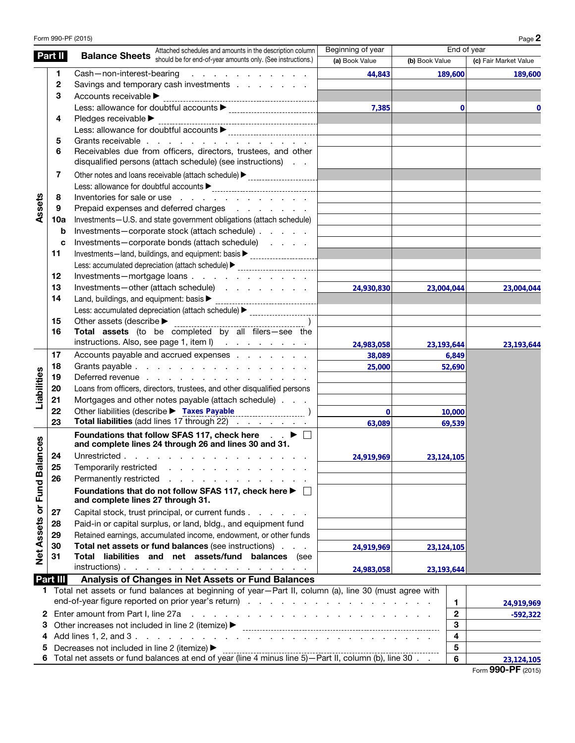|                          |                                                              | Form 990-PF (2015)                                                                                                                                                                                                                                                   |                   |                |                         | Page 2                |
|--------------------------|--------------------------------------------------------------|----------------------------------------------------------------------------------------------------------------------------------------------------------------------------------------------------------------------------------------------------------------------|-------------------|----------------|-------------------------|-----------------------|
|                          | Part II                                                      | Attached schedules and amounts in the description column<br><b>Balance Sheets</b> should be for end-of-year amounts only. (See instructions.)                                                                                                                        | Beginning of year |                | End of year             |                       |
|                          |                                                              |                                                                                                                                                                                                                                                                      | (a) Book Value    | (b) Book Value |                         | (c) Fair Market Value |
|                          | 1.                                                           | Cash-non-interest-bearing<br>the contract of the contract of the con-                                                                                                                                                                                                | 44,843            |                | 189,600                 | 189,600               |
|                          | 2                                                            | Savings and temporary cash investments                                                                                                                                                                                                                               |                   |                |                         |                       |
|                          | 3                                                            | Accounts receivable >                                                                                                                                                                                                                                                |                   |                |                         |                       |
|                          |                                                              |                                                                                                                                                                                                                                                                      | 7,385             |                | $\mathbf 0$             | O                     |
|                          | 4                                                            |                                                                                                                                                                                                                                                                      |                   |                |                         |                       |
|                          |                                                              |                                                                                                                                                                                                                                                                      |                   |                |                         |                       |
|                          | 5<br>6                                                       | Grants receivable                                                                                                                                                                                                                                                    |                   |                |                         |                       |
|                          |                                                              | Receivables due from officers, directors, trustees, and other<br>disqualified persons (attach schedule) (see instructions)                                                                                                                                           |                   |                |                         |                       |
|                          | 7                                                            | Other notes and loans receivable (attach schedule) > ___________________________                                                                                                                                                                                     |                   |                |                         |                       |
|                          |                                                              |                                                                                                                                                                                                                                                                      |                   |                |                         |                       |
|                          | 8                                                            | Inventories for sale or use                                                                                                                                                                                                                                          |                   |                |                         |                       |
| Assets                   | 9                                                            | Prepaid expenses and deferred charges                                                                                                                                                                                                                                |                   |                |                         |                       |
|                          | 10a                                                          | Investments-U.S. and state government obligations (attach schedule)                                                                                                                                                                                                  |                   |                |                         |                       |
|                          | b                                                            | Investments-corporate stock (attach schedule)                                                                                                                                                                                                                        |                   |                |                         |                       |
|                          | c                                                            | Investments-corporate bonds (attach schedule)                                                                                                                                                                                                                        |                   |                |                         |                       |
|                          | 11                                                           | Investments-land, buildings, and equipment: basis > ____________________________                                                                                                                                                                                     |                   |                |                         |                       |
|                          |                                                              | Less: accumulated depreciation (attach schedule) > _____________________________                                                                                                                                                                                     |                   |                |                         |                       |
|                          | 12                                                           | Investments-mortgage loans                                                                                                                                                                                                                                           |                   |                |                         |                       |
|                          | 13                                                           | Investments-other (attach schedule)                                                                                                                                                                                                                                  | 24,930,830        | 23,004,044     |                         | 23,004,044            |
|                          | 14                                                           |                                                                                                                                                                                                                                                                      |                   |                |                         |                       |
|                          |                                                              | Less: accumulated depreciation (attach schedule) > _____________________________                                                                                                                                                                                     |                   |                |                         |                       |
|                          | 15                                                           | Other assets (describe > ______________                                                                                                                                                                                                                              |                   |                |                         |                       |
|                          | 16                                                           | Total assets (to be completed by all filers-see the                                                                                                                                                                                                                  |                   |                |                         |                       |
|                          |                                                              | instructions. Also, see page 1, item l)                                                                                                                                                                                                                              | 24,983,058        | 23, 193, 644   |                         | 23,193,644            |
|                          | 17                                                           | Accounts payable and accrued expenses                                                                                                                                                                                                                                | 38,089            |                | 6,849                   |                       |
|                          | 18                                                           | Grants payable                                                                                                                                                                                                                                                       | 25,000            |                | 52,690                  |                       |
| Liabilities              | 19                                                           | Deferred revenue                                                                                                                                                                                                                                                     |                   |                |                         |                       |
|                          | 20                                                           | Loans from officers, directors, trustees, and other disqualified persons                                                                                                                                                                                             |                   |                |                         |                       |
|                          | 21                                                           | Mortgages and other notes payable (attach schedule)                                                                                                                                                                                                                  |                   |                |                         |                       |
|                          | 22                                                           | Other liabilities (describe > Taxes Payable )                                                                                                                                                                                                                        | $\mathbf{0}$      |                | 10,000                  |                       |
|                          | 23                                                           | Total liabilities (add lines 17 through 22)                                                                                                                                                                                                                          | 63,089            |                | 69,539                  |                       |
|                          |                                                              | Foundations that follow SFAS 117, check here $\Box$ $\blacktriangleright$ $\Box$<br>and complete lines 24 through 26 and lines 30 and 31.                                                                                                                            |                   |                |                         |                       |
| ces                      |                                                              |                                                                                                                                                                                                                                                                      |                   |                |                         |                       |
|                          | 24                                                           | Unrestricted                                                                                                                                                                                                                                                         | 24,919,969        | 23,124,105     |                         |                       |
|                          | 25                                                           | Temporarily restricted<br>and the contract of the contract of the                                                                                                                                                                                                    |                   |                |                         |                       |
|                          | 26                                                           | Permanently restricted<br>and a state of the contract of the contract of                                                                                                                                                                                             |                   |                |                         |                       |
| Net Assets or Fund Balan |                                                              | Foundations that do not follow SFAS 117, check here ▶ □<br>and complete lines 27 through 31.                                                                                                                                                                         |                   |                |                         |                       |
|                          | 27                                                           | Capital stock, trust principal, or current funds                                                                                                                                                                                                                     |                   |                |                         |                       |
|                          | 28                                                           | Paid-in or capital surplus, or land, bldg., and equipment fund                                                                                                                                                                                                       |                   |                |                         |                       |
|                          | 29                                                           | Retained earnings, accumulated income, endowment, or other funds                                                                                                                                                                                                     |                   |                |                         |                       |
|                          | 30                                                           | Total net assets or fund balances (see instructions)                                                                                                                                                                                                                 | 24,919,969        | 23, 124, 105   |                         |                       |
|                          | 31                                                           | Total liabilities and net assets/fund balances (see                                                                                                                                                                                                                  |                   |                |                         |                       |
|                          |                                                              | $instructions)$ .                                                                                                                                                                                                                                                    | 24,983,058        | 23, 193, 644   |                         |                       |
|                          | Part III                                                     | Analysis of Changes in Net Assets or Fund Balances                                                                                                                                                                                                                   |                   |                |                         |                       |
|                          |                                                              | 1 Total net assets or fund balances at beginning of year-Part II, column (a), line 30 (must agree with                                                                                                                                                               |                   |                |                         |                       |
|                          |                                                              | Enter amount from Part I, line 27a<br>and the contract of the contract of the contract of the contract of the contract of the contract of the contract of the contract of the contract of the contract of the contract of the contract of the contract of the contra |                   |                | $\mathbf{1}$            | 24,919,969            |
| $\mathbf{2}$             |                                                              | $\mathbf{2}$                                                                                                                                                                                                                                                         | $-592,322$        |                |                         |                       |
|                          | 3<br>Other increases not included in line 2 (itemize) ▶<br>З |                                                                                                                                                                                                                                                                      |                   |                |                         |                       |
| 4                        |                                                              |                                                                                                                                                                                                                                                                      |                   |                | 4                       |                       |
|                          |                                                              | Decreases not included in line 2 (itemize) ▶                                                                                                                                                                                                                         |                   |                | $\overline{\mathbf{5}}$ |                       |
| $\bf 6$                  |                                                              |                                                                                                                                                                                                                                                                      |                   |                |                         | 23,124,105            |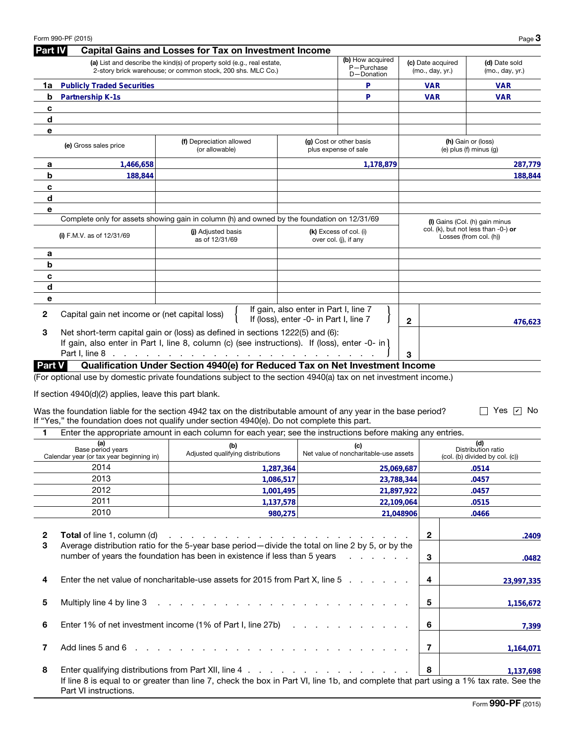|              | Form 990-PF (2015)                                                   |                                                                                                                                                                                                               |                                        |                                                 |              |                                      | Page $3$                                                         |
|--------------|----------------------------------------------------------------------|---------------------------------------------------------------------------------------------------------------------------------------------------------------------------------------------------------------|----------------------------------------|-------------------------------------------------|--------------|--------------------------------------|------------------------------------------------------------------|
| Part IV      |                                                                      | <b>Capital Gains and Losses for Tax on Investment Income</b>                                                                                                                                                  |                                        |                                                 |              |                                      |                                                                  |
|              |                                                                      | (a) List and describe the kind(s) of property sold (e.g., real estate,<br>2-story brick warehouse; or common stock, 200 shs. MLC Co.)                                                                         |                                        | (b) How acquired<br>P-Purchase<br>D-Donation    |              | (c) Date acquired<br>(mo., day, yr.) | (d) Date sold<br>(mo., day, yr.)                                 |
| 1a           | <b>Publicly Traded Securities</b>                                    |                                                                                                                                                                                                               |                                        | P                                               |              | <b>VAR</b>                           | VAR                                                              |
| b            | Partnership K-1s                                                     |                                                                                                                                                                                                               |                                        | P                                               |              | <b>VAR</b>                           | <b>VAR</b>                                                       |
| c            |                                                                      |                                                                                                                                                                                                               |                                        |                                                 |              |                                      |                                                                  |
| d            |                                                                      |                                                                                                                                                                                                               |                                        |                                                 |              |                                      |                                                                  |
| е            |                                                                      |                                                                                                                                                                                                               |                                        |                                                 |              |                                      |                                                                  |
|              | (e) Gross sales price                                                | (f) Depreciation allowed<br>(or allowable)                                                                                                                                                                    |                                        | (g) Cost or other basis<br>plus expense of sale |              |                                      | (h) Gain or (loss)<br>(e) plus $(f)$ minus $(g)$                 |
| а            | 1,466,658                                                            |                                                                                                                                                                                                               |                                        | 1,178,879                                       |              |                                      | 287,779                                                          |
| b            | 188,844                                                              |                                                                                                                                                                                                               |                                        |                                                 |              |                                      | 188,844                                                          |
| c            |                                                                      |                                                                                                                                                                                                               |                                        |                                                 |              |                                      |                                                                  |
| d            |                                                                      |                                                                                                                                                                                                               |                                        |                                                 |              |                                      |                                                                  |
| е            |                                                                      |                                                                                                                                                                                                               |                                        |                                                 |              |                                      |                                                                  |
|              |                                                                      | Complete only for assets showing gain in column (h) and owned by the foundation on 12/31/69                                                                                                                   |                                        |                                                 |              |                                      | (I) Gains (Col. (h) gain minus                                   |
|              | (i) F.M.V. as of $12/31/69$                                          | (i) Adjusted basis<br>as of 12/31/69                                                                                                                                                                          |                                        | (k) Excess of col. (i)<br>over col. (j), if any |              |                                      | col. (k), but not less than $-0$ -) or<br>Losses (from col. (h)) |
| а            |                                                                      |                                                                                                                                                                                                               |                                        |                                                 |              |                                      |                                                                  |
| b            |                                                                      |                                                                                                                                                                                                               |                                        |                                                 |              |                                      |                                                                  |
| c            |                                                                      |                                                                                                                                                                                                               |                                        |                                                 |              |                                      |                                                                  |
| d            |                                                                      |                                                                                                                                                                                                               |                                        |                                                 |              |                                      |                                                                  |
| е            |                                                                      |                                                                                                                                                                                                               | If gain, also enter in Part I, line 7  |                                                 |              |                                      |                                                                  |
| 2            | Capital gain net income or (net capital loss)                        |                                                                                                                                                                                                               | If (loss), enter -0- in Part I, line 7 |                                                 | $\mathbf{2}$ |                                      | 476,623                                                          |
| 3            |                                                                      | Net short-term capital gain or (loss) as defined in sections 1222(5) and (6):<br>If gain, also enter in Part I, line 8, column (c) (see instructions). If (loss), enter -0- in)                               |                                        |                                                 |              |                                      |                                                                  |
|              |                                                                      |                                                                                                                                                                                                               |                                        |                                                 | 3            |                                      |                                                                  |
| Part V       |                                                                      | Qualification Under Section 4940(e) for Reduced Tax on Net Investment Income<br>(For optional use by domestic private foundations subject to the section 4940(a) tax on net investment income.)               |                                        |                                                 |              |                                      |                                                                  |
|              | If section 4940(d)(2) applies, leave this part blank.                |                                                                                                                                                                                                               |                                        |                                                 |              |                                      |                                                                  |
|              |                                                                      | Was the foundation liable for the section 4942 tax on the distributable amount of any year in the base period?<br>If "Yes," the foundation does not qualify under section 4940(e). Do not complete this part. |                                        |                                                 |              |                                      | Yes $ \bar{v} $ No                                               |
| 1            |                                                                      | Enter the appropriate amount in each column for each year; see the instructions before making any entries.                                                                                                    |                                        |                                                 |              |                                      |                                                                  |
|              | (a)<br>Base period years<br>Calendar year (or tax year beginning in) | (b)<br>Adjusted qualifying distributions                                                                                                                                                                      |                                        | (c)<br>Net value of noncharitable-use assets    |              |                                      | (d)<br>Distribution ratio<br>(col. (b) divided by col. (c))      |
|              | 2014                                                                 |                                                                                                                                                                                                               | 1,287,364                              | 25,069,687                                      |              |                                      | .0514                                                            |
|              | 2013                                                                 |                                                                                                                                                                                                               | 1,086,517                              | 23,788,344                                      |              |                                      | .0457                                                            |
|              | 2012                                                                 |                                                                                                                                                                                                               | 1,001,495                              | 21,897,922                                      |              |                                      | .0457                                                            |
|              | 2011                                                                 |                                                                                                                                                                                                               | 1,137,578                              | 22,109,064                                      |              |                                      | .0515                                                            |
|              | 2010                                                                 |                                                                                                                                                                                                               | 980,275                                |                                                 | 21,048906    |                                      | .0466                                                            |
|              |                                                                      |                                                                                                                                                                                                               |                                        |                                                 |              |                                      |                                                                  |
| $\mathbf{2}$ | <b>Total</b> of line 1, column (d)                                   | .                                                                                                                                                                                                             |                                        |                                                 |              | $\overline{2}$                       | .2409                                                            |
| 3            |                                                                      | Average distribution ratio for the 5-year base period-divide the total on line 2 by 5, or by the                                                                                                              |                                        |                                                 |              |                                      |                                                                  |
|              |                                                                      | number of years the foundation has been in existence if less than 5 years                                                                                                                                     |                                        | and the company of the company of               |              | 3                                    | .0482                                                            |
| 4            |                                                                      | Enter the net value of noncharitable-use assets for 2015 from Part X, line 5                                                                                                                                  |                                        |                                                 |              | 4                                    | 23,997,335                                                       |
| 5            | Multiply line 4 by line 3                                            | the contract of the contract of                                                                                                                                                                               |                                        |                                                 |              | 5                                    | 1,156,672                                                        |
| 6            |                                                                      | Enter 1% of net investment income (1% of Part I, line 27b)                                                                                                                                                    |                                        |                                                 |              | 6                                    | 7,399                                                            |
| 7            | Add lines 5 and 6                                                    | the contract of the contract of the contract of the contract of the contract of the contract of the contract of                                                                                               |                                        |                                                 |              | $\overline{7}$                       | 1,164,071                                                        |
| 8            |                                                                      | Enter qualifying distributions from Part XII, line 4                                                                                                                                                          |                                        |                                                 |              | 8                                    | 1,137,698                                                        |
|              | Part VI instructions.                                                | If line 8 is equal to or greater than line 7, check the box in Part VI, line 1b, and complete that part using a 1% tax rate. See the                                                                          |                                        |                                                 |              |                                      |                                                                  |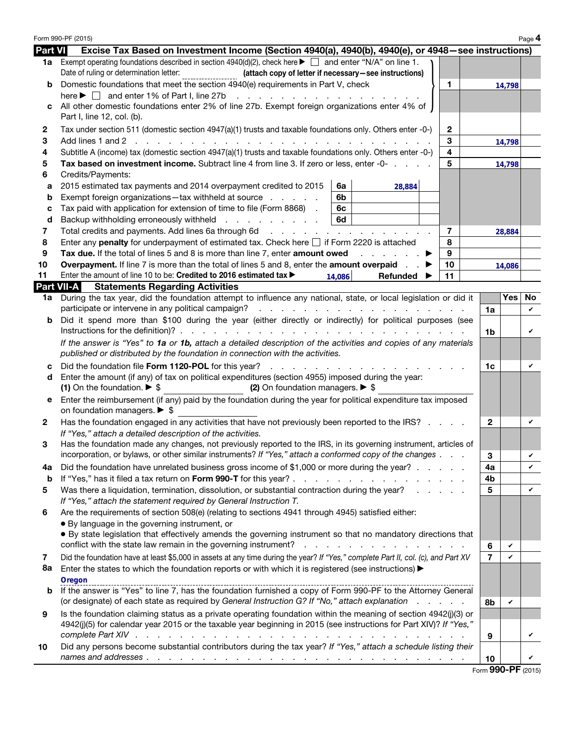|                | Form 990-PF (2015)                                                                                                                                                                                                                   |                                |        | Page 4 |  |  |
|----------------|--------------------------------------------------------------------------------------------------------------------------------------------------------------------------------------------------------------------------------------|--------------------------------|--------|--------|--|--|
| <b>Part VI</b> | Excise Tax Based on Investment Income (Section 4940(a), 4940(b), 4940(e), or 4948–see instructions)                                                                                                                                  |                                |        |        |  |  |
| 1a             | Exempt operating foundations described in section 4940(d)(2), check here $\blacktriangleright \Box$ and enter "N/A" on line 1.                                                                                                       |                                |        |        |  |  |
|                | Date of ruling or determination letter:<br>(attach copy of letter if necessary-see instructions)<br>Domestic foundations that meet the section 4940(e) requirements in Part V, check<br>1.                                           |                                |        |        |  |  |
| b              | here $\blacktriangleright \Box$ and enter 1% of Part I, line 27b<br>and the contract of the contract of                                                                                                                              |                                | 14,798 |        |  |  |
|                | All other domestic foundations enter 2% of line 27b. Exempt foreign organizations enter 4% of                                                                                                                                        |                                |        |        |  |  |
|                | Part I, line 12, col. (b).                                                                                                                                                                                                           |                                |        |        |  |  |
| 2              | Tax under section 511 (domestic section 4947(a)(1) trusts and taxable foundations only. Others enter -0-)<br>$\mathbf{2}$                                                                                                            |                                |        |        |  |  |
| 3              | 3                                                                                                                                                                                                                                    |                                |        |        |  |  |
| 4              | 4<br>Subtitle A (income) tax (domestic section 4947(a)(1) trusts and taxable foundations only. Others enter -0-)                                                                                                                     |                                | 14,798 |        |  |  |
| 5              | 5<br>Tax based on investment income. Subtract line 4 from line 3. If zero or less, enter -0-                                                                                                                                         |                                | 14,798 |        |  |  |
| 6              | Credits/Payments:                                                                                                                                                                                                                    |                                |        |        |  |  |
| а              | 2015 estimated tax payments and 2014 overpayment credited to 2015<br>6a<br>28,884                                                                                                                                                    |                                |        |        |  |  |
| b              | Exempt foreign organizations-tax withheld at source<br>6b                                                                                                                                                                            |                                |        |        |  |  |
| c              | Tax paid with application for extension of time to file (Form 8868).<br>6с                                                                                                                                                           |                                |        |        |  |  |
| d              | 6d<br>Backup withholding erroneously withheld                                                                                                                                                                                        |                                |        |        |  |  |
| 7              | Total credits and payments. Add lines 6a through 6d<br>7                                                                                                                                                                             |                                | 28,884 |        |  |  |
| 8<br>9         | 8<br>Enter any <b>penalty</b> for underpayment of estimated tax. Check here $\Box$ if Form 2220 is attached<br>Tax due. If the total of lines 5 and 8 is more than line 7, enter amount owed<br>9<br>and a state of the state of the |                                |        |        |  |  |
| 10             | <b>Overpayment.</b> If line 7 is more than the total of lines 5 and 8, enter the <b>amount overpaid</b><br>10                                                                                                                        |                                | 14,086 |        |  |  |
| 11             | Enter the amount of line 10 to be: Credited to 2016 estimated tax ><br>11<br>Refunded<br>14.086                                                                                                                                      |                                |        |        |  |  |
|                | <b>Part VII-A</b><br><b>Statements Regarding Activities</b>                                                                                                                                                                          |                                |        |        |  |  |
| 1a             | During the tax year, did the foundation attempt to influence any national, state, or local legislation or did it                                                                                                                     |                                | Yes    | No.    |  |  |
|                | participate or intervene in any political campaign?                                                                                                                                                                                  | 1a                             |        | V      |  |  |
| b              | Did it spend more than \$100 during the year (either directly or indirectly) for political purposes (see                                                                                                                             |                                |        |        |  |  |
|                | If the answer is "Yes" to 1a or 1b, attach a detailed description of the activities and copies of any materials                                                                                                                      | 1 <sub>b</sub>                 |        |        |  |  |
|                | published or distributed by the foundation in connection with the activities.                                                                                                                                                        |                                |        |        |  |  |
| c              | Did the foundation file Form 1120-POL for this year?<br>the contract of the contract of                                                                                                                                              |                                |        |        |  |  |
| d              | Enter the amount (if any) of tax on political expenditures (section 4955) imposed during the year:                                                                                                                                   |                                |        |        |  |  |
|                | (1) On the foundation. $\triangleright$ \$<br>(2) On foundation managers. $\triangleright$ \$                                                                                                                                        |                                |        |        |  |  |
| е              | Enter the reimbursement (if any) paid by the foundation during the year for political expenditure tax imposed<br>on foundation managers. $\triangleright$ \$                                                                         |                                |        |        |  |  |
| 2              | Has the foundation engaged in any activities that have not previously been reported to the IRS?<br>If "Yes," attach a detailed description of the activities.                                                                        |                                |        |        |  |  |
| 3              | Has the foundation made any changes, not previously reported to the IRS, in its governing instrument, articles of                                                                                                                    |                                |        |        |  |  |
|                | incorporation, or bylaws, or other similar instruments? If "Yes," attach a conformed copy of the changes                                                                                                                             | 3                              |        |        |  |  |
| 4a             | Did the foundation have unrelated business gross income of \$1,000 or more during the year?                                                                                                                                          | 4a                             |        | V      |  |  |
| b              | If "Yes," has it filed a tax return on Form 990-T for this year?                                                                                                                                                                     | 4b                             |        |        |  |  |
| 5              | Was there a liquidation, termination, dissolution, or substantial contraction during the year?                                                                                                                                       | 5                              |        | V      |  |  |
| 6              | If "Yes," attach the statement required by General Instruction T.<br>Are the requirements of section 508(e) (relating to sections 4941 through 4945) satisfied either:                                                               |                                |        |        |  |  |
|                | • By language in the governing instrument, or                                                                                                                                                                                        |                                |        |        |  |  |
|                | . By state legislation that effectively amends the governing instrument so that no mandatory directions that                                                                                                                         |                                |        |        |  |  |
|                | conflict with the state law remain in the governing instrument?<br>the contract of the contract of the contract of                                                                                                                   | 6                              | V      |        |  |  |
| 7              | Did the foundation have at least \$5,000 in assets at any time during the year? If "Yes," complete Part II, col. (c), and Part XV                                                                                                    | $\overline{7}$                 | V      |        |  |  |
| 8a             | Enter the states to which the foundation reports or with which it is registered (see instructions) $\blacktriangleright$                                                                                                             |                                |        |        |  |  |
|                | Oregon                                                                                                                                                                                                                               |                                |        |        |  |  |
| b              | If the answer is "Yes" to line 7, has the foundation furnished a copy of Form 990-PF to the Attorney General                                                                                                                         |                                |        |        |  |  |
|                | (or designate) of each state as required by General Instruction G? If "No," attach explanation<br>and a state of                                                                                                                     | 8b                             | V      |        |  |  |
| 9              | Is the foundation claiming status as a private operating foundation within the meaning of section 4942(j)(3) or                                                                                                                      |                                |        |        |  |  |
|                | 4942(j)(5) for calendar year 2015 or the taxable year beginning in 2015 (see instructions for Part XIV)? If "Yes,"                                                                                                                   |                                |        | V      |  |  |
| 10             | Did any persons become substantial contributors during the tax year? If "Yes," attach a schedule listing their                                                                                                                       | 9                              |        |        |  |  |
|                |                                                                                                                                                                                                                                      | 10                             |        | V      |  |  |
|                |                                                                                                                                                                                                                                      | $F_{\text{sum}}$ QQN_DE (2015) |        |        |  |  |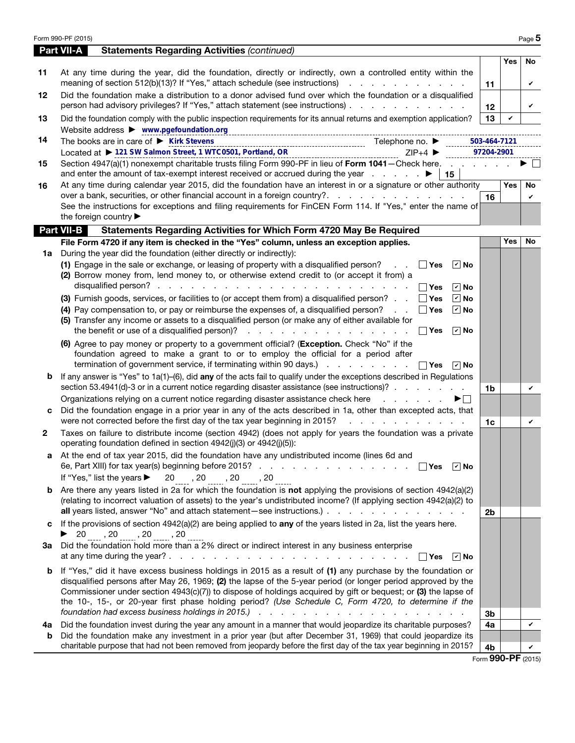|              | Form 990-PF (2015)                                                                                                                                                                                                                                                                                                                                                                                                                                                                                                                                                                                                                                                                         |                            |            | Page 5             |
|--------------|--------------------------------------------------------------------------------------------------------------------------------------------------------------------------------------------------------------------------------------------------------------------------------------------------------------------------------------------------------------------------------------------------------------------------------------------------------------------------------------------------------------------------------------------------------------------------------------------------------------------------------------------------------------------------------------------|----------------------------|------------|--------------------|
|              | <b>Part VII-A</b><br><b>Statements Regarding Activities (continued)</b>                                                                                                                                                                                                                                                                                                                                                                                                                                                                                                                                                                                                                    |                            |            |                    |
| 11           | At any time during the year, did the foundation, directly or indirectly, own a controlled entity within the<br>meaning of section 512(b)(13)? If "Yes," attach schedule (see instructions)                                                                                                                                                                                                                                                                                                                                                                                                                                                                                                 | 11                         | Yes        | No<br>V            |
| 12           | Did the foundation make a distribution to a donor advised fund over which the foundation or a disqualified<br>person had advisory privileges? If "Yes," attach statement (see instructions)                                                                                                                                                                                                                                                                                                                                                                                                                                                                                                | 12                         |            | V                  |
| 13           | Did the foundation comply with the public inspection requirements for its annual returns and exemption application?                                                                                                                                                                                                                                                                                                                                                                                                                                                                                                                                                                        | 13                         | V          |                    |
| 14           | Website address > www.pgefoundation.org<br>The books are in care of $\blacktriangleright$ Kirk Stevens<br>Located at ▶ 121 SW Salmon Street, 1 WTC0501, Portland, OR<br>Located at ▶ 121 SW Salmon Street, 1 WTC0501, Portland, OR<br>$ZIP+4$                                                                                                                                                                                                                                                                                                                                                                                                                                              | 503-464-7121<br>97204-2901 |            |                    |
| 15           | Section 4947(a)(1) nonexempt charitable trusts filing Form 990-PF in lieu of Form 1041 - Check here.<br>∣ 15                                                                                                                                                                                                                                                                                                                                                                                                                                                                                                                                                                               |                            |            |                    |
| 16           | At any time during calendar year 2015, did the foundation have an interest in or a signature or other authority                                                                                                                                                                                                                                                                                                                                                                                                                                                                                                                                                                            |                            | Yes        | No                 |
|              | See the instructions for exceptions and filing requirements for FinCEN Form 114. If "Yes," enter the name of<br>the foreign country                                                                                                                                                                                                                                                                                                                                                                                                                                                                                                                                                        | 16                         |            | V                  |
|              | <b>Part VII-B</b><br>Statements Regarding Activities for Which Form 4720 May Be Required                                                                                                                                                                                                                                                                                                                                                                                                                                                                                                                                                                                                   |                            |            |                    |
|              | File Form 4720 if any item is checked in the "Yes" column, unless an exception applies.                                                                                                                                                                                                                                                                                                                                                                                                                                                                                                                                                                                                    |                            | <b>Yes</b> | No                 |
| 1a           | During the year did the foundation (either directly or indirectly):<br>(1) Engage in the sale or exchange, or leasing of property with a disqualified person?<br>$\Box$ Yes<br>$ v $ No<br>(2) Borrow money from, lend money to, or otherwise extend credit to (or accept it from) a<br>$\boxed{v}$ No<br>$\boxed{\triangledown}$ No<br>(3) Furnish goods, services, or facilities to (or accept them from) a disqualified person? $\Box$ Yes<br>(4) Pay compensation to, or pay or reimburse the expenses of, a disqualified person? $\Box$ Yes<br>$\boxed{\mathbf{v}}$ No<br>(5) Transfer any income or assets to a disqualified person (or make any of either available for<br>$ v $ No |                            |            |                    |
| b            | (6) Agree to pay money or property to a government official? (Exception. Check "No" if the<br>foundation agreed to make a grant to or to employ the official for a period after<br>termination of government service, if terminating within 90 days.) $\ldots$ $\ldots$ $\ldots$ $\Box$ Yes<br>∣ <i>v</i> ∣No<br>If any answer is "Yes" to $1a(1)$ -(6), did any of the acts fail to qualify under the exceptions described in Regulations                                                                                                                                                                                                                                                 |                            |            |                    |
|              | section 53.4941(d)-3 or in a current notice regarding disaster assistance (see instructions)?                                                                                                                                                                                                                                                                                                                                                                                                                                                                                                                                                                                              | 1 <sub>b</sub>             |            | V                  |
| c            | Organizations relying on a current notice regarding disaster assistance check here entitled as a contact of<br>▶⊟<br>Did the foundation engage in a prior year in any of the acts described in 1a, other than excepted acts, that<br>were not corrected before the first day of the tax year beginning in 2015?<br>the contract of the contract of the                                                                                                                                                                                                                                                                                                                                     |                            |            |                    |
| $\mathbf{2}$ | Taxes on failure to distribute income (section 4942) (does not apply for years the foundation was a private<br>operating foundation defined in section 4942(j)(3) or 4942(j)(5)):                                                                                                                                                                                                                                                                                                                                                                                                                                                                                                          | 1 <sub>c</sub>             |            | V                  |
|              | At the end of tax year 2015, did the foundation have any undistributed income (lines 6d and                                                                                                                                                                                                                                                                                                                                                                                                                                                                                                                                                                                                |                            |            |                    |
|              | $20$ , $20$ , $20$ , $20$<br>If "Yes," list the years $\blacktriangleright$                                                                                                                                                                                                                                                                                                                                                                                                                                                                                                                                                                                                                |                            |            |                    |
|              | <b>b</b> Are there any years listed in 2a for which the foundation is not applying the provisions of section $4942(a)(2)$<br>(relating to incorrect valuation of assets) to the year's undistributed income? (If applying section 4942(a)(2) to                                                                                                                                                                                                                                                                                                                                                                                                                                            | 2 <sub>b</sub>             |            |                    |
| c            | If the provisions of section $4942(a)(2)$ are being applied to any of the years listed in 2a, list the years here.                                                                                                                                                                                                                                                                                                                                                                                                                                                                                                                                                                         |                            |            |                    |
| За           | ▶ $20 \dots, 20 \dots, 20 \dots$<br>Did the foundation hold more than a 2% direct or indirect interest in any business enterprise<br>$\sqrt{ }$ No<br>∣ ∣Yes                                                                                                                                                                                                                                                                                                                                                                                                                                                                                                                               |                            |            |                    |
|              | <b>b</b> If "Yes," did it have excess business holdings in 2015 as a result of (1) any purchase by the foundation or<br>disqualified persons after May 26, 1969; (2) the lapse of the 5-year period (or longer period approved by the<br>Commissioner under section 4943(c)(7)) to dispose of holdings acquired by gift or bequest; or (3) the lapse of<br>the 10-, 15-, or 20-year first phase holding period? (Use Schedule C, Form 4720, to determine if the                                                                                                                                                                                                                            | 3b                         |            |                    |
| 4a           | Did the foundation invest during the year any amount in a manner that would jeopardize its charitable purposes?                                                                                                                                                                                                                                                                                                                                                                                                                                                                                                                                                                            | 4a                         |            | V                  |
| b            | Did the foundation make any investment in a prior year (but after December 31, 1969) that could jeopardize its<br>charitable purpose that had not been removed from jeopardy before the first day of the tax year beginning in 2015?                                                                                                                                                                                                                                                                                                                                                                                                                                                       | 4b                         |            | V                  |
|              |                                                                                                                                                                                                                                                                                                                                                                                                                                                                                                                                                                                                                                                                                            |                            |            | Form 990-PF (2015) |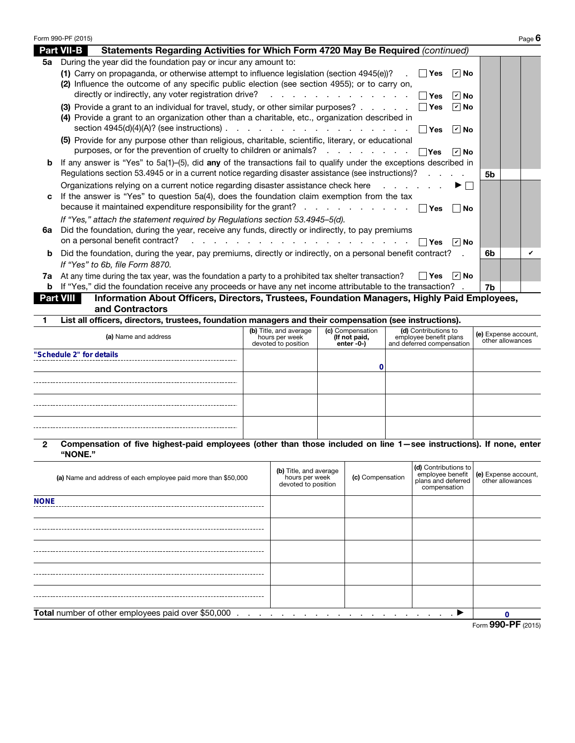|    | Form 990-PF (2015)                                                                                                                                                                                                                                                                                                                                                         | Page 6 |
|----|----------------------------------------------------------------------------------------------------------------------------------------------------------------------------------------------------------------------------------------------------------------------------------------------------------------------------------------------------------------------------|--------|
|    | <b>Part VII-B</b><br>Statements Regarding Activities for Which Form 4720 May Be Required (continued)                                                                                                                                                                                                                                                                       |        |
| 5а | During the year did the foundation pay or incur any amount to:<br>(1) Carry on propaganda, or otherwise attempt to influence legislation (section 4945(e))?<br>∣r∣ No<br>∣ ∣Yes<br>(2) Influence the outcome of any specific public election (see section 4955); or to carry on,<br>directly or indirectly, any voter registration drive? $\cdots$ $\Box$ Yes<br>$\vee$ No |        |
|    | (3) Provide a grant to an individual for travel, study, or other similar purposes? $\ldots$ $\ldots$ $\Box$ Yes<br>$ v $ No<br>(4) Provide a grant to an organization other than a charitable, etc., organization described in<br>section 4945(d)(4)(A)? (see instructions) $\ldots$ $\ldots$ $\ldots$ $\ldots$ $\ldots$ $\ldots$ $\ldots$ $\Box$ Yes<br>$ v $ No          |        |
|    | (5) Provide for any purpose other than religious, charitable, scientific, literary, or educational<br>purposes, or for the prevention of cruelty to children or animals? $\Box$ Yes<br>$ v $ No                                                                                                                                                                            |        |
| b  | If any answer is "Yes" to 5a(1)–(5), did any of the transactions fail to qualify under the exceptions described in<br>Regulations section 53.4945 or in a current notice regarding disaster assistance (see instructions)?<br>5 <sub>b</sub>                                                                                                                               |        |
| c  | Organizations relying on a current notice regarding disaster assistance check here<br>$\blacktriangleright$ $\vdash$<br>If the answer is "Yes" to question 5a(4), does the foundation claim exemption from the tax<br>because it maintained expenditure responsibility for the grant? $\Box$ Yes<br>∣No                                                                    |        |
| 6а | If "Yes," attach the statement required by Regulations section 53.4945-5(d).<br>Did the foundation, during the year, receive any funds, directly or indirectly, to pay premiums<br>on a personal benefit contract?<br>and a series and a series and a series and a series and a<br>$ v $ No<br>Yes                                                                         |        |
| b  | Did the foundation, during the year, pay premiums, directly or indirectly, on a personal benefit contract?<br>6b<br>If "Yes" to 6b, file Form 8870.                                                                                                                                                                                                                        |        |
|    | 7a At any time during the tax year, was the foundation a party to a prohibited tax shelter transaction?<br>│ │Yes │ I∕ │No<br><b>b</b> If "Yes," did the foundation receive any proceeds or have any net income attributable to the transaction?<br>7b                                                                                                                     |        |
|    | <b>Part VIII</b><br>Information About Officers, Directors, Trustees, Foundation Managers, Highly Paid Employees,                                                                                                                                                                                                                                                           |        |

and Contractors

1 List all officers, directors, trustees, foundation managers and their compensation (see instructions).

| (a) Name and address     | (b) Title, and average<br>hours per week<br>devoted to position | (c) Compensation<br>(If not paid,<br>enter -0-) | (d) Contributions to<br>employee benefit plans<br>and deferred compensation | (e) Expense account,<br>other allowances |
|--------------------------|-----------------------------------------------------------------|-------------------------------------------------|-----------------------------------------------------------------------------|------------------------------------------|
| "Schedule 2" for details |                                                                 |                                                 |                                                                             |                                          |
|                          |                                                                 |                                                 |                                                                             |                                          |
|                          |                                                                 |                                                 |                                                                             |                                          |
|                          |                                                                 |                                                 |                                                                             |                                          |

2 Compensation of five highest-paid employees (other than those included on line 1—see instructions). If none, enter "NONE."

| (a) Name and address of each employee paid more than \$50,000 | (b) Title, and average<br>hours per week<br>devoted to position                  | (c) Compensation | (d) Contributions to<br>compensation | employee benefit (e) Expense account,<br>plans and deferred other allowances |  |  |
|---------------------------------------------------------------|----------------------------------------------------------------------------------|------------------|--------------------------------------|------------------------------------------------------------------------------|--|--|
| <b>NONE</b>                                                   |                                                                                  |                  |                                      |                                                                              |  |  |
|                                                               |                                                                                  |                  |                                      |                                                                              |  |  |
|                                                               |                                                                                  |                  |                                      |                                                                              |  |  |
|                                                               |                                                                                  |                  |                                      |                                                                              |  |  |
|                                                               |                                                                                  |                  |                                      |                                                                              |  |  |
| Total number of other employees paid over \$50,000.           | $\ldots$ . The contract of the contract of the contract of $\blacktriangleright$ |                  |                                      | n                                                                            |  |  |
| Form 990-PF (2015)                                            |                                                                                  |                  |                                      |                                                                              |  |  |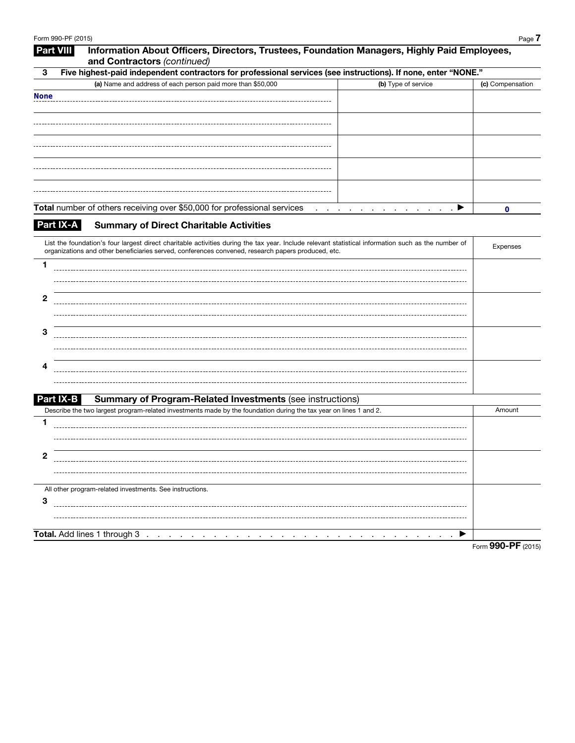| 3            | Five highest-paid independent contractors for professional services (see instructions). If none, enter "NONE."                                                                                                                                            |                  |
|--------------|-----------------------------------------------------------------------------------------------------------------------------------------------------------------------------------------------------------------------------------------------------------|------------------|
|              | (a) Name and address of each person paid more than \$50,000<br>(b) Type of service                                                                                                                                                                        | (c) Compensation |
| <b>None</b>  |                                                                                                                                                                                                                                                           |                  |
|              |                                                                                                                                                                                                                                                           |                  |
|              |                                                                                                                                                                                                                                                           |                  |
|              |                                                                                                                                                                                                                                                           |                  |
|              |                                                                                                                                                                                                                                                           |                  |
|              |                                                                                                                                                                                                                                                           |                  |
|              |                                                                                                                                                                                                                                                           |                  |
|              |                                                                                                                                                                                                                                                           |                  |
|              |                                                                                                                                                                                                                                                           |                  |
|              | Total number of others receiving over \$50,000 for professional services<br>$\cdot$ $\blacktriangleright$<br>and a straight and state                                                                                                                     | $\mathbf 0$      |
|              | Part IX-A<br><b>Summary of Direct Charitable Activities</b>                                                                                                                                                                                               |                  |
|              |                                                                                                                                                                                                                                                           |                  |
|              | List the foundation's four largest direct charitable activities during the tax year. Include relevant statistical information such as the number of<br>organizations and other beneficiaries served, conferences convened, research papers produced, etc. | <b>Expenses</b>  |
| 1            |                                                                                                                                                                                                                                                           |                  |
|              |                                                                                                                                                                                                                                                           |                  |
|              |                                                                                                                                                                                                                                                           |                  |
| $\mathbf{2}$ |                                                                                                                                                                                                                                                           |                  |
|              |                                                                                                                                                                                                                                                           |                  |
|              |                                                                                                                                                                                                                                                           |                  |
| З            |                                                                                                                                                                                                                                                           |                  |
|              |                                                                                                                                                                                                                                                           |                  |
| 4            |                                                                                                                                                                                                                                                           |                  |
|              |                                                                                                                                                                                                                                                           |                  |
|              |                                                                                                                                                                                                                                                           |                  |
|              | <b>Part IX-B</b><br><b>Summary of Program-Related Investments (see instructions)</b>                                                                                                                                                                      |                  |
|              | Describe the two largest program-related investments made by the foundation during the tax year on lines 1 and 2.                                                                                                                                         | Amount           |
| 1            |                                                                                                                                                                                                                                                           |                  |
|              |                                                                                                                                                                                                                                                           |                  |
| 2            |                                                                                                                                                                                                                                                           |                  |
|              |                                                                                                                                                                                                                                                           |                  |
|              |                                                                                                                                                                                                                                                           |                  |
|              | All other program-related investments. See instructions.                                                                                                                                                                                                  |                  |
| 3            |                                                                                                                                                                                                                                                           |                  |
|              |                                                                                                                                                                                                                                                           |                  |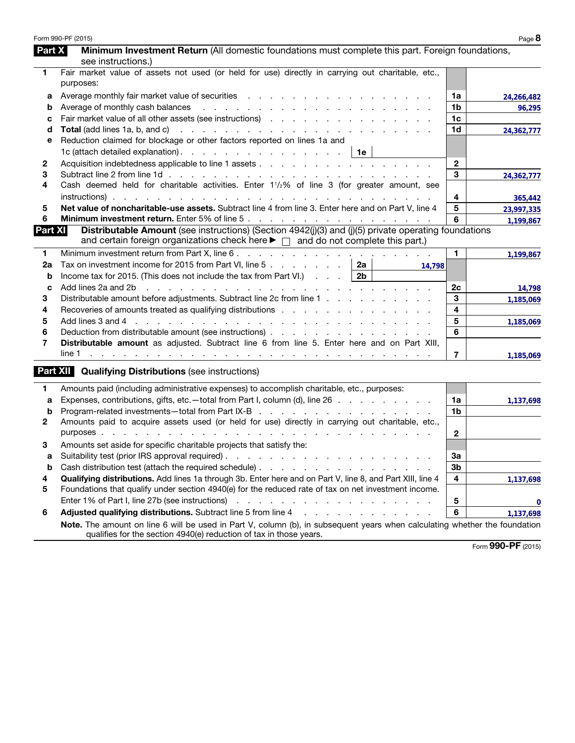|                | Form 990-PF (2015)                                                                                                                                                                                                            |                | Page 8     |
|----------------|-------------------------------------------------------------------------------------------------------------------------------------------------------------------------------------------------------------------------------|----------------|------------|
| Part X         | Minimum Investment Return (All domestic foundations must complete this part. Foreign foundations,                                                                                                                             |                |            |
|                | see instructions.)                                                                                                                                                                                                            |                |            |
| 1              | Fair market value of assets not used (or held for use) directly in carrying out charitable, etc.,                                                                                                                             |                |            |
|                | purposes:                                                                                                                                                                                                                     |                |            |
| а              |                                                                                                                                                                                                                               | 1a             | 24,266,482 |
| b              |                                                                                                                                                                                                                               | 1b             | 96,295     |
| c              |                                                                                                                                                                                                                               | 1 <sub>c</sub> |            |
| d              |                                                                                                                                                                                                                               | 1d             | 24,362,777 |
| е              | Reduction claimed for blockage or other factors reported on lines 1a and                                                                                                                                                      |                |            |
|                | 1c (attach detailed explanation). $\therefore$ $\therefore$ $\therefore$ $\therefore$ $\therefore$ $\therefore$ $\therefore$ 1e                                                                                               |                |            |
| 2              |                                                                                                                                                                                                                               | $\mathbf{2}$   |            |
| 3              |                                                                                                                                                                                                                               | 3              | 24,362,777 |
| 4              | Cash deemed held for charitable activities. Enter 11/2% of line 3 (for greater amount, see                                                                                                                                    |                |            |
|                |                                                                                                                                                                                                                               | 4              | 365,442    |
| 5              | Net value of noncharitable-use assets. Subtract line 4 from line 3. Enter here and on Part V, line 4                                                                                                                          | 5              | 23,997,335 |
| 6              |                                                                                                                                                                                                                               | 6              | 1,199,867  |
| <b>Part XI</b> | Distributable Amount (see instructions) (Section 4942(j)(3) and (j)(5) private operating foundations                                                                                                                          |                |            |
|                | and certain foreign organizations check here $\blacktriangleright \Box$ and do not complete this part.)                                                                                                                       |                |            |
| 1              | Minimum investment return from Part X, line 6.                                                                                                                                                                                | 1.             | 1,199,867  |
| 2a             | Tax on investment income for 2015 from Part VI, line 5<br>2a<br>14,798                                                                                                                                                        |                |            |
| b              | Income tax for 2015. (This does not include the tax from Part VI.) $\ldots$<br>2b                                                                                                                                             |                |            |
| C              | Add lines 2a and 2b<br>the contract of the contract of the contract of the contract of the contract of                                                                                                                        | 2c             | 14,798     |
| З              | Distributable amount before adjustments. Subtract line 2c from line 1                                                                                                                                                         | 3              | 1,185,069  |
| 4              | Recoveries of amounts treated as qualifying distributions enterstable and contact the content of the Recoveries of amounts treated as qualifying distributions and contact the content of the Recoveries of the Recoveries of | 4              |            |
| 5              |                                                                                                                                                                                                                               | 5              | 1,185,069  |
| 6              | Deduction from distributable amount (see instructions)                                                                                                                                                                        | 6              |            |
| 7              | Distributable amount as adjusted. Subtract line 6 from line 5. Enter here and on Part XIII,                                                                                                                                   |                |            |
|                |                                                                                                                                                                                                                               | $\overline{7}$ | 1,185,069  |
|                | <b>Part XII Qualifying Distributions (see instructions)</b>                                                                                                                                                                   |                |            |
|                |                                                                                                                                                                                                                               |                |            |
| 1              | Amounts paid (including administrative expenses) to accomplish charitable, etc., purposes:                                                                                                                                    |                |            |
| a              | Expenses, contributions, gifts, etc.—total from Part I, column (d), line 26                                                                                                                                                   | 1a             | 1,137,698  |
| b              |                                                                                                                                                                                                                               | 1b             |            |
| 2              | Amounts paid to acquire assets used (or held for use) directly in carrying out charitable, etc.,                                                                                                                              |                |            |
|                |                                                                                                                                                                                                                               | $\mathbf{2}$   |            |
| З              | Amounts set aside for specific charitable projects that satisfy the:                                                                                                                                                          |                |            |
| a              |                                                                                                                                                                                                                               | 3a             |            |
| b              |                                                                                                                                                                                                                               | 3b             |            |
| 4              | Qualifying distributions. Add lines 1a through 3b. Enter here and on Part V, line 8, and Part XIII, line 4                                                                                                                    | 4              | 1,137,698  |
| 5              | Foundations that qualify under section 4940(e) for the reduced rate of tax on net investment income.                                                                                                                          |                |            |
|                |                                                                                                                                                                                                                               | ${\bf 5}$      | 0          |
| 6              | Adjusted qualifying distributions. Subtract line 5 from line 4 manufacturers and contact the students of Adjusted Qualitying distributions. Subtract line 5 from line 4                                                       | 6              | 1,137,698  |
|                | Note. The amount on line 6 will be used in Part V, column (b), in subsequent years when calculating whether the foundation<br>qualifies for the section 4940(e) reduction of tax in those years.                              |                |            |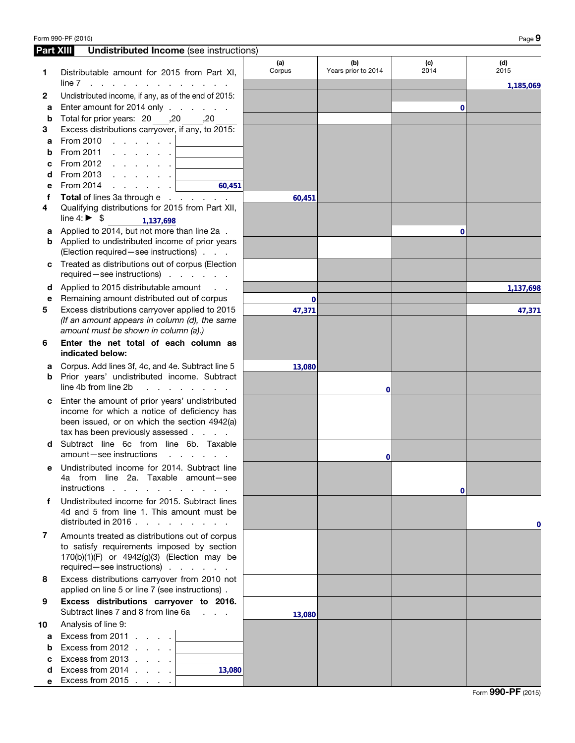| Form 990-PF (2015) | Page $9$ |
|--------------------|----------|
|--------------------|----------|

| <b>Part XIII</b> | <b>Undistributed Income</b> (see instructions)                                            |               |                            |             |             |
|------------------|-------------------------------------------------------------------------------------------|---------------|----------------------------|-------------|-------------|
| 1                | Distributable amount for 2015 from Part XI,                                               | (a)<br>Corpus | (b)<br>Years prior to 2014 | (c)<br>2014 | (d)<br>2015 |
|                  | $line 7$ , , , , , , , , , , , , ,                                                        |               |                            |             | 1,185,069   |
| 2                | Undistributed income, if any, as of the end of 2015:                                      |               |                            |             |             |
| a                | Enter amount for 2014 only                                                                |               |                            | 0           |             |
| b                | 20, Total for prior years: 20, 20                                                         |               |                            |             |             |
| 3                | Excess distributions carryover, if any, to 2015:                                          |               |                            |             |             |
| a                | From 2010 $\, \cdot \,$ $\, \cdot \,$ $\, \cdot \,$ $\, \cdot \,$ $\,$ $\, \cdot \,$      |               |                            |             |             |
| b                | From 2011 $\ldots$ $\ldots$<br>the control of the control of the control of               |               |                            |             |             |
| c                | From 2012 $\ldots$ $\ldots$ $\ldots$<br>and the control of the control of                 |               |                            |             |             |
| d                | From 2013 $\ldots$ $\ldots$ $\ldots$                                                      |               |                            |             |             |
| е                | From 2014<br>60,451<br>and the contractor                                                 |               |                            |             |             |
| f                | Total of lines 3a through e                                                               | 60,451        |                            |             |             |
| 4                | Qualifying distributions for 2015 from Part XII,                                          |               |                            |             |             |
|                  | line 4: $\triangleright$ \$<br>1,137,698                                                  |               |                            |             |             |
| а                | Applied to 2014, but not more than line 2a.                                               |               |                            | 0           |             |
| b                | Applied to undistributed income of prior years                                            |               |                            |             |             |
|                  | (Election required - see instructions)                                                    |               |                            |             |             |
| с                | Treated as distributions out of corpus (Election                                          |               |                            |             |             |
|                  | required-see instructions)                                                                |               |                            |             |             |
| d                | Applied to 2015 distributable amount<br>$\sim$ 100 $\sim$                                 |               |                            |             | 1,137,698   |
| е                | Remaining amount distributed out of corpus                                                | $\mathbf 0$   |                            |             |             |
| 5                | Excess distributions carryover applied to 2015                                            | 47,371        |                            |             | 47,371      |
|                  | (If an amount appears in column (d), the same                                             |               |                            |             |             |
|                  | amount must be shown in column (a).)                                                      |               |                            |             |             |
| 6                | Enter the net total of each column as<br>indicated below:                                 |               |                            |             |             |
| а                | Corpus. Add lines 3f, 4c, and 4e. Subtract line 5                                         | 13,080        |                            |             |             |
| b                | Prior years' undistributed income. Subtract                                               |               |                            |             |             |
|                  | line 4b from line 2b<br>and a state of the state of the state of                          |               | 0                          |             |             |
|                  | Enter the amount of prior years' undistributed                                            |               |                            |             |             |
| с                | income for which a notice of deficiency has                                               |               |                            |             |             |
|                  | been issued, or on which the section 4942(a)                                              |               |                            |             |             |
|                  | tax has been previously assessed                                                          |               |                            |             |             |
| d                | Subtract line 6c from line 6b. Taxable                                                    |               |                            |             |             |
|                  | amount-see instructions<br>and the contract of the contract of                            |               | 0                          |             |             |
|                  | Undistributed income for 2014. Subtract line                                              |               |                            |             |             |
|                  | 4a from line 2a. Taxable amount-see                                                       |               |                            |             |             |
|                  | instructions                                                                              |               |                            |             |             |
| f                | Undistributed income for 2015. Subtract lines                                             |               |                            | 0           |             |
|                  | 4d and 5 from line 1. This amount must be                                                 |               |                            |             |             |
|                  | distributed in 2016.                                                                      |               |                            |             |             |
|                  |                                                                                           |               |                            |             | 0           |
| 7                | Amounts treated as distributions out of corpus                                            |               |                            |             |             |
|                  | to satisfy requirements imposed by section<br>170(b)(1)(F) or 4942(g)(3) (Election may be |               |                            |             |             |
|                  | required - see instructions)                                                              |               |                            |             |             |
|                  | Excess distributions carryover from 2010 not                                              |               |                            |             |             |
| 8                | applied on line 5 or line 7 (see instructions).                                           |               |                            |             |             |
|                  |                                                                                           |               |                            |             |             |
| 9                | Excess distributions carryover to 2016.<br>Subtract lines 7 and 8 from line 6a            |               |                            |             |             |
|                  |                                                                                           | 13,080        |                            |             |             |
| 10               | Analysis of line 9:                                                                       |               |                            |             |             |
| a                | Excess from $2011$                                                                        |               |                            |             |             |
| b                | Excess from $2012$                                                                        |               |                            |             |             |
| С                | Excess from 2013                                                                          |               |                            |             |             |
| d                | Excess from 2014<br>13,080                                                                |               |                            |             |             |
| e                | Excess from 2015                                                                          |               |                            |             |             |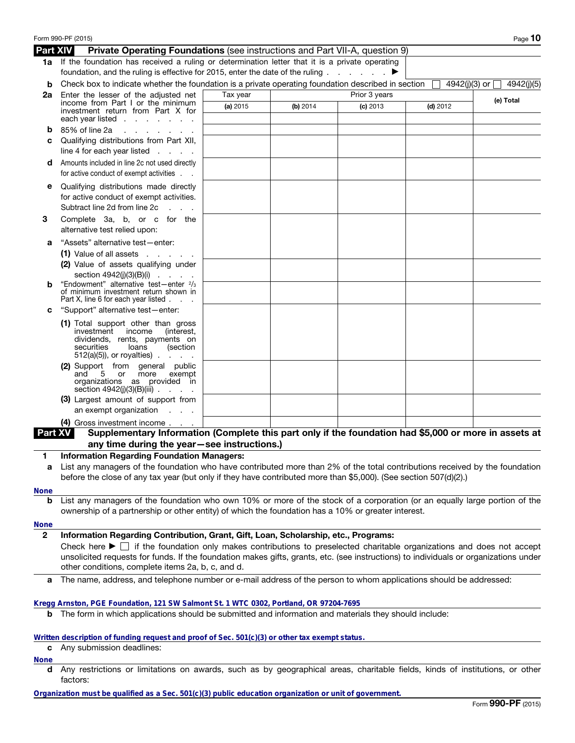|                  | Form 990-PF (2015)                                                                                                                                                                                                                                                                                                                                                                                                               |          |          |               |                 | Page 10    |
|------------------|----------------------------------------------------------------------------------------------------------------------------------------------------------------------------------------------------------------------------------------------------------------------------------------------------------------------------------------------------------------------------------------------------------------------------------|----------|----------|---------------|-----------------|------------|
| Part XIV         | <b>Private Operating Foundations</b> (see instructions and Part VII-A, question 9)                                                                                                                                                                                                                                                                                                                                               |          |          |               |                 |            |
|                  | 1a If the foundation has received a ruling or determination letter that it is a private operating<br>foundation, and the ruling is effective for 2015, enter the date of the ruling $\ldots$                                                                                                                                                                                                                                     |          |          |               |                 |            |
| b                | Check box to indicate whether the foundation is a private operating foundation described in section                                                                                                                                                                                                                                                                                                                              |          |          |               | 4942(j)(3) or □ | 4942(j)(5) |
| 2a               | Enter the lesser of the adjusted net<br>income from Part I or the minimum                                                                                                                                                                                                                                                                                                                                                        | Tax year |          | Prior 3 years |                 | (e) Total  |
|                  | investment return from Part X for<br>each year listed $\ldots$                                                                                                                                                                                                                                                                                                                                                                   | (a) 2015 | (b) 2014 | $(c)$ 2013    | $(d)$ 2012      |            |
| b                | 85% of line 2a<br>and a state of the state of the                                                                                                                                                                                                                                                                                                                                                                                |          |          |               |                 |            |
| c                | Qualifying distributions from Part XII,<br>line 4 for each year listed $\ldots$ .                                                                                                                                                                                                                                                                                                                                                |          |          |               |                 |            |
| d                | Amounts included in line 2c not used directly<br>for active conduct of exempt activities                                                                                                                                                                                                                                                                                                                                         |          |          |               |                 |            |
| е                | Qualifying distributions made directly<br>for active conduct of exempt activities.<br>Subtract line 2d from line 2c<br><b>Service</b>                                                                                                                                                                                                                                                                                            |          |          |               |                 |            |
| 3                | Complete 3a, b, or c for the<br>alternative test relied upon:                                                                                                                                                                                                                                                                                                                                                                    |          |          |               |                 |            |
| а                | "Assets" alternative test-enter:                                                                                                                                                                                                                                                                                                                                                                                                 |          |          |               |                 |            |
|                  | $(1)$ Value of all assets $\ldots$ $\ldots$                                                                                                                                                                                                                                                                                                                                                                                      |          |          |               |                 |            |
|                  | (2) Value of assets qualifying under                                                                                                                                                                                                                                                                                                                                                                                             |          |          |               |                 |            |
| b                | section $4942(i)(3)(B)(i)$<br>"Endowment" alternative test-enter 2/3<br>of minimum investment return shown in                                                                                                                                                                                                                                                                                                                    |          |          |               |                 |            |
| c                | Part X, line 6 for each year listed<br>"Support" alternative test-enter:                                                                                                                                                                                                                                                                                                                                                         |          |          |               |                 |            |
|                  | (1) Total support other than gross                                                                                                                                                                                                                                                                                                                                                                                               |          |          |               |                 |            |
|                  | investment income<br>(interest,<br>dividends, rents, payments on<br>securities<br>loans<br>(section<br>$512(a)(5)$ , or royalties)                                                                                                                                                                                                                                                                                               |          |          |               |                 |            |
|                  | (2) Support from general public<br>and<br>5 or<br>more<br>exempt<br>organizations as provided in<br>section $4942(j)(3)(B)(iii)$                                                                                                                                                                                                                                                                                                 |          |          |               |                 |            |
|                  | (3) Largest amount of support from<br>an exempt organization<br><b>Contract Contract</b>                                                                                                                                                                                                                                                                                                                                         |          |          |               |                 |            |
|                  | (4) Gross investment income                                                                                                                                                                                                                                                                                                                                                                                                      |          |          |               |                 |            |
| <b>Part XV</b>   | Supplementary Information (Complete this part only if the foundation had \$5,000 or more in assets at                                                                                                                                                                                                                                                                                                                            |          |          |               |                 |            |
|                  | any time during the year-see instructions.)                                                                                                                                                                                                                                                                                                                                                                                      |          |          |               |                 |            |
|                  | <b>Information Regarding Foundation Managers:</b>                                                                                                                                                                                                                                                                                                                                                                                |          |          |               |                 |            |
| а                | List any managers of the foundation who have contributed more than 2% of the total contributions received by the foundation<br>before the close of any tax year (but only if they have contributed more than \$5,000). (See section 507(d)(2).)                                                                                                                                                                                  |          |          |               |                 |            |
|                  |                                                                                                                                                                                                                                                                                                                                                                                                                                  |          |          |               |                 |            |
| <b>None</b><br>b | List any managers of the foundation who own 10% or more of the stock of a corporation (or an equally large portion of the<br>ownership of a partnership or other entity) of which the foundation has a 10% or greater interest.                                                                                                                                                                                                  |          |          |               |                 |            |
| <b>None</b>      |                                                                                                                                                                                                                                                                                                                                                                                                                                  |          |          |               |                 |            |
| $\mathbf{2}$     | Information Regarding Contribution, Grant, Gift, Loan, Scholarship, etc., Programs:<br>Check here $\blacktriangleright \Box$ if the foundation only makes contributions to preselected charitable organizations and does not accept<br>unsolicited requests for funds. If the foundation makes gifts, grants, etc. (see instructions) to individuals or organizations under<br>other conditions, complete items 2a, b, c, and d. |          |          |               |                 |            |
| а                | The name, address, and telephone number or e-mail address of the person to whom applications should be addressed:                                                                                                                                                                                                                                                                                                                |          |          |               |                 |            |
|                  | Kregg Arnston, PGE Foundation, 121 SW Salmont St. 1 WTC 0302, Portland, OR 97204-7695                                                                                                                                                                                                                                                                                                                                            |          |          |               |                 |            |
| b                | The form in which applications should be submitted and information and materials they should include:                                                                                                                                                                                                                                                                                                                            |          |          |               |                 |            |
| c                | Written description of funding request and proof of Sec. 501(c)(3) or other tax exempt status.<br>Any submission deadlines:                                                                                                                                                                                                                                                                                                      |          |          |               |                 |            |
| <b>None</b>      |                                                                                                                                                                                                                                                                                                                                                                                                                                  |          |          |               |                 |            |
| d                | Any restrictions or limitations on awards, such as by geographical areas, charitable fields, kinds of institutions, or other<br>factors:                                                                                                                                                                                                                                                                                         |          |          |               |                 |            |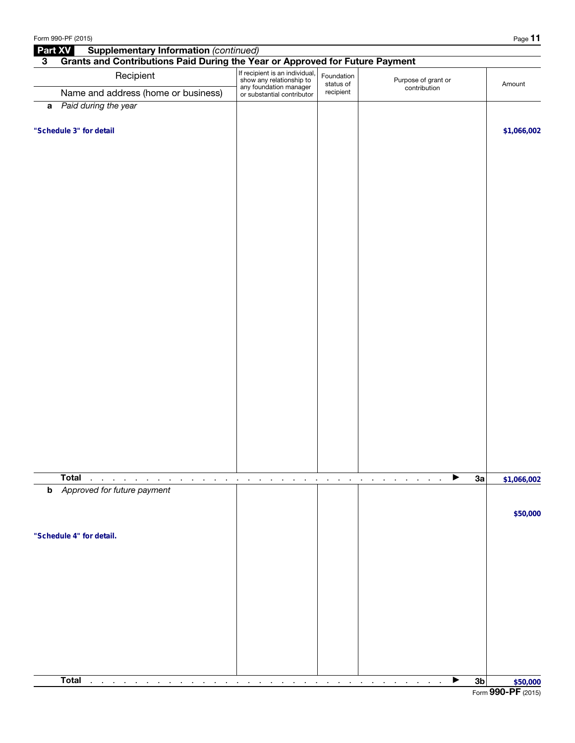|                         | Form 990-PF (2015)                                                           |                                                                                                                    |                                      |                                     | Page 11                                                     |  |  |  |  |
|-------------------------|------------------------------------------------------------------------------|--------------------------------------------------------------------------------------------------------------------|--------------------------------------|-------------------------------------|-------------------------------------------------------------|--|--|--|--|
| Part XV                 | <b>Supplementary Information (continued)</b>                                 |                                                                                                                    |                                      |                                     |                                                             |  |  |  |  |
| $\overline{\mathbf{3}}$ | Grants and Contributions Paid During the Year or Approved for Future Payment |                                                                                                                    |                                      |                                     |                                                             |  |  |  |  |
|                         | Recipient                                                                    | If recipient is an individual,<br>show any relationship to<br>any foundation manager<br>or substantial contributor | Foundation<br>status of<br>recipient | Purpose of grant or<br>contribution | Amount                                                      |  |  |  |  |
|                         | Name and address (home or business)                                          |                                                                                                                    |                                      |                                     |                                                             |  |  |  |  |
|                         | a Paid during the year                                                       |                                                                                                                    |                                      |                                     |                                                             |  |  |  |  |
|                         | "Schedule 3" for detail                                                      |                                                                                                                    |                                      |                                     | \$1,066,002                                                 |  |  |  |  |
|                         |                                                                              |                                                                                                                    |                                      |                                     |                                                             |  |  |  |  |
|                         |                                                                              |                                                                                                                    |                                      |                                     |                                                             |  |  |  |  |
|                         |                                                                              |                                                                                                                    |                                      |                                     |                                                             |  |  |  |  |
|                         |                                                                              |                                                                                                                    |                                      |                                     |                                                             |  |  |  |  |
|                         |                                                                              |                                                                                                                    |                                      |                                     |                                                             |  |  |  |  |
|                         |                                                                              |                                                                                                                    |                                      |                                     |                                                             |  |  |  |  |
|                         |                                                                              |                                                                                                                    |                                      |                                     |                                                             |  |  |  |  |
|                         |                                                                              |                                                                                                                    |                                      |                                     |                                                             |  |  |  |  |
|                         |                                                                              |                                                                                                                    |                                      |                                     |                                                             |  |  |  |  |
|                         |                                                                              |                                                                                                                    |                                      |                                     |                                                             |  |  |  |  |
|                         |                                                                              |                                                                                                                    |                                      |                                     |                                                             |  |  |  |  |
|                         |                                                                              |                                                                                                                    |                                      |                                     |                                                             |  |  |  |  |
|                         |                                                                              |                                                                                                                    |                                      |                                     |                                                             |  |  |  |  |
|                         |                                                                              |                                                                                                                    |                                      |                                     |                                                             |  |  |  |  |
|                         |                                                                              |                                                                                                                    |                                      |                                     |                                                             |  |  |  |  |
|                         |                                                                              |                                                                                                                    |                                      |                                     |                                                             |  |  |  |  |
|                         |                                                                              |                                                                                                                    |                                      |                                     |                                                             |  |  |  |  |
|                         |                                                                              |                                                                                                                    |                                      |                                     |                                                             |  |  |  |  |
|                         |                                                                              |                                                                                                                    |                                      |                                     |                                                             |  |  |  |  |
|                         |                                                                              |                                                                                                                    |                                      |                                     |                                                             |  |  |  |  |
|                         |                                                                              |                                                                                                                    |                                      |                                     |                                                             |  |  |  |  |
|                         |                                                                              |                                                                                                                    |                                      |                                     |                                                             |  |  |  |  |
|                         |                                                                              |                                                                                                                    |                                      |                                     |                                                             |  |  |  |  |
|                         |                                                                              |                                                                                                                    |                                      |                                     |                                                             |  |  |  |  |
|                         |                                                                              |                                                                                                                    |                                      |                                     |                                                             |  |  |  |  |
|                         | <b>Total</b><br>$\blacksquare$<br>$\blacksquare$<br>$\cdot$                  |                                                                                                                    | $\blacksquare$<br>×                  | ▶<br>$\cdot$                        | 3a<br>\$1,066,002                                           |  |  |  |  |
| b                       | Approved for future payment                                                  |                                                                                                                    |                                      |                                     |                                                             |  |  |  |  |
|                         |                                                                              |                                                                                                                    |                                      |                                     |                                                             |  |  |  |  |
|                         |                                                                              |                                                                                                                    |                                      |                                     | \$50,000                                                    |  |  |  |  |
|                         |                                                                              |                                                                                                                    |                                      |                                     |                                                             |  |  |  |  |
|                         | "Schedule 4" for detail.                                                     |                                                                                                                    |                                      |                                     |                                                             |  |  |  |  |
|                         |                                                                              |                                                                                                                    |                                      |                                     |                                                             |  |  |  |  |
|                         |                                                                              |                                                                                                                    |                                      |                                     |                                                             |  |  |  |  |
|                         |                                                                              |                                                                                                                    |                                      |                                     |                                                             |  |  |  |  |
|                         |                                                                              |                                                                                                                    |                                      |                                     |                                                             |  |  |  |  |
|                         |                                                                              |                                                                                                                    |                                      |                                     |                                                             |  |  |  |  |
|                         |                                                                              |                                                                                                                    |                                      |                                     |                                                             |  |  |  |  |
|                         |                                                                              |                                                                                                                    |                                      |                                     |                                                             |  |  |  |  |
|                         |                                                                              |                                                                                                                    |                                      |                                     |                                                             |  |  |  |  |
|                         |                                                                              |                                                                                                                    |                                      |                                     |                                                             |  |  |  |  |
|                         | <b>Total</b>                                                                 |                                                                                                                    |                                      |                                     |                                                             |  |  |  |  |
|                         | $\epsilon$<br>$\sim$                                                         |                                                                                                                    |                                      | ▶                                   | 3 <sub>b</sub><br>$\frac{3b}{\text{Form } 990 - PF}$ (2015) |  |  |  |  |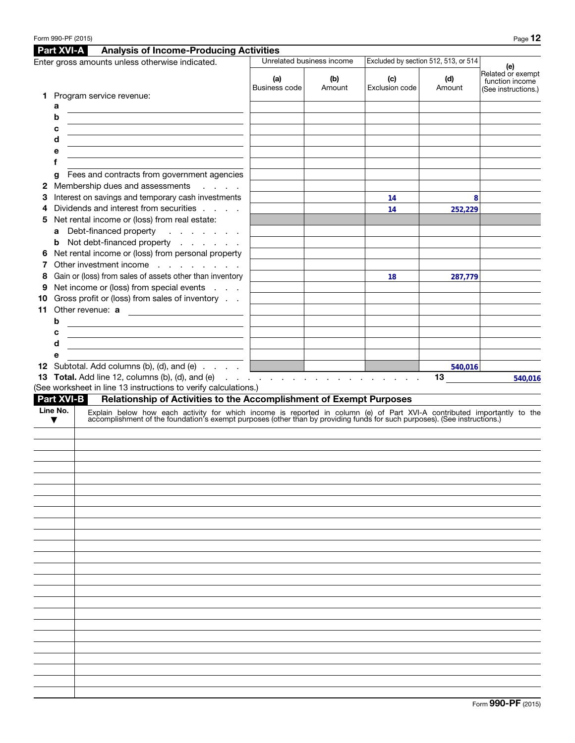|                                                 |                   | <b>Part XVI-A</b><br><b>Analysis of Income-Producing Activities</b>                                                                                                                                                           |                                       |                           |                                      |               |                                                             |  |
|-------------------------------------------------|-------------------|-------------------------------------------------------------------------------------------------------------------------------------------------------------------------------------------------------------------------------|---------------------------------------|---------------------------|--------------------------------------|---------------|-------------------------------------------------------------|--|
| Enter gross amounts unless otherwise indicated. |                   |                                                                                                                                                                                                                               |                                       | Unrelated business income | Excluded by section 512, 513, or 514 | (e)           |                                                             |  |
|                                                 |                   | 1 Program service revenue:                                                                                                                                                                                                    | (a)<br>(b)<br>Business code<br>Amount |                           | (c)<br>Exclusion code                | (d)<br>Amount | Related or exempt<br>function income<br>(See instructions.) |  |
|                                                 | а                 |                                                                                                                                                                                                                               |                                       |                           |                                      |               |                                                             |  |
|                                                 | b                 |                                                                                                                                                                                                                               |                                       |                           |                                      |               |                                                             |  |
|                                                 | с                 |                                                                                                                                                                                                                               |                                       |                           |                                      |               |                                                             |  |
|                                                 | d                 |                                                                                                                                                                                                                               |                                       |                           |                                      |               |                                                             |  |
|                                                 | е                 |                                                                                                                                                                                                                               |                                       |                           |                                      |               |                                                             |  |
|                                                 | f                 |                                                                                                                                                                                                                               |                                       |                           |                                      |               |                                                             |  |
|                                                 | g                 | Fees and contracts from government agencies                                                                                                                                                                                   |                                       |                           |                                      |               |                                                             |  |
| 2                                               |                   | Membership dues and assessments<br>and a state                                                                                                                                                                                |                                       |                           |                                      |               |                                                             |  |
| З                                               |                   | Interest on savings and temporary cash investments                                                                                                                                                                            |                                       |                           | 14                                   | 8             |                                                             |  |
| 4                                               |                   | Dividends and interest from securities                                                                                                                                                                                        |                                       |                           | 14                                   | 252,229       |                                                             |  |
| 5                                               |                   | Net rental income or (loss) from real estate:                                                                                                                                                                                 |                                       |                           |                                      |               |                                                             |  |
|                                                 | a                 | Debt-financed property<br>$\mathcal{L}^{\mathcal{A}}$ , $\mathcal{L}^{\mathcal{A}}$ , $\mathcal{L}^{\mathcal{A}}$ , $\mathcal{L}^{\mathcal{A}}$ , $\mathcal{L}^{\mathcal{A}}$                                                 |                                       |                           |                                      |               |                                                             |  |
|                                                 | b                 | Not debt-financed property                                                                                                                                                                                                    |                                       |                           |                                      |               |                                                             |  |
| 6                                               |                   | Net rental income or (loss) from personal property                                                                                                                                                                            |                                       |                           |                                      |               |                                                             |  |
|                                                 |                   | Other investment income                                                                                                                                                                                                       |                                       |                           |                                      |               |                                                             |  |
| 8                                               |                   | Gain or (loss) from sales of assets other than inventory                                                                                                                                                                      |                                       |                           | 18                                   | 287,779       |                                                             |  |
| 9                                               |                   | Net income or (loss) from special events                                                                                                                                                                                      |                                       |                           |                                      |               |                                                             |  |
| 10                                              |                   | Gross profit or (loss) from sales of inventory                                                                                                                                                                                |                                       |                           |                                      |               |                                                             |  |
| 11                                              |                   | Other revenue: a                                                                                                                                                                                                              |                                       |                           |                                      |               |                                                             |  |
|                                                 | b                 | <u> 1980 - Andrea Station Barbara, politik eta provincia eta provincia eta provincia eta provincia eta provincia</u>                                                                                                          |                                       |                           |                                      |               |                                                             |  |
|                                                 | c                 | <u> 1989 - Johann Barn, fransk politik (d. 1989)</u>                                                                                                                                                                          |                                       |                           |                                      |               |                                                             |  |
|                                                 | d                 | the control of the control of the control of the control of the control of the control of                                                                                                                                     |                                       |                           |                                      |               |                                                             |  |
|                                                 | е                 |                                                                                                                                                                                                                               |                                       |                           |                                      |               |                                                             |  |
|                                                 |                   | 12 Subtotal. Add columns (b), (d), and (e)                                                                                                                                                                                    | <u> 1999 - Johann John Stone</u>      |                           |                                      | 540,016       |                                                             |  |
|                                                 |                   |                                                                                                                                                                                                                               |                                       |                           |                                      | 13            | 540,016                                                     |  |
|                                                 |                   | (See worksheet in line 13 instructions to verify calculations.)                                                                                                                                                               |                                       |                           |                                      |               |                                                             |  |
|                                                 | <b>Part XVI-B</b> | Relationship of Activities to the Accomplishment of Exempt Purposes                                                                                                                                                           |                                       |                           |                                      |               |                                                             |  |
|                                                 | Line No.<br>▼     | Explain below how each activity for which income is reported in column (e) of Part XVI-A contributed importantly to the accomplishment of the foundation's exempt purposes (other than by providing funds for such purposes). |                                       |                           |                                      |               |                                                             |  |
|                                                 |                   |                                                                                                                                                                                                                               |                                       |                           |                                      |               |                                                             |  |
|                                                 |                   |                                                                                                                                                                                                                               |                                       |                           |                                      |               |                                                             |  |
|                                                 |                   |                                                                                                                                                                                                                               |                                       |                           |                                      |               |                                                             |  |
|                                                 |                   |                                                                                                                                                                                                                               |                                       |                           |                                      |               |                                                             |  |
|                                                 |                   |                                                                                                                                                                                                                               |                                       |                           |                                      |               |                                                             |  |
|                                                 |                   |                                                                                                                                                                                                                               |                                       |                           |                                      |               |                                                             |  |
|                                                 |                   |                                                                                                                                                                                                                               |                                       |                           |                                      |               |                                                             |  |
|                                                 |                   |                                                                                                                                                                                                                               |                                       |                           |                                      |               |                                                             |  |